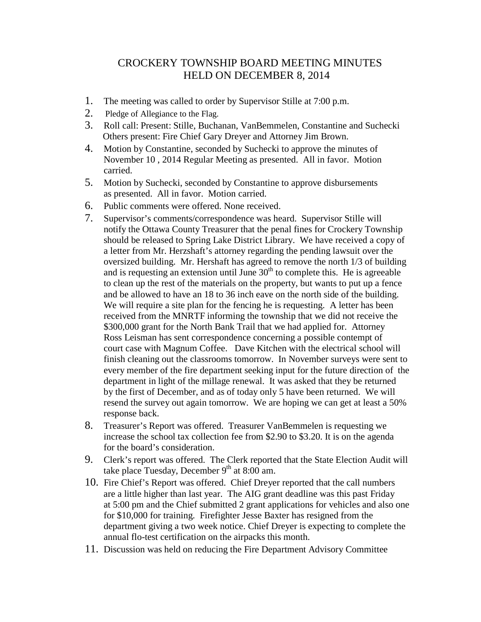## CROCKERY TOWNSHIP BOARD MEETING MINUTES HELD ON DECEMBER 8, 2014

- 1. The meeting was called to order by Supervisor Stille at 7:00 p.m.
- 2. Pledge of Allegiance to the Flag.
- 3. Roll call: Present: Stille, Buchanan, VanBemmelen, Constantine and Suchecki Others present: Fire Chief Gary Dreyer and Attorney Jim Brown.
- 4. Motion by Constantine, seconded by Suchecki to approve the minutes of November 10 , 2014 Regular Meeting as presented. All in favor. Motion carried.
- 5. Motion by Suchecki, seconded by Constantine to approve disbursements as presented. All in favor. Motion carried.
- 6. Public comments were offered. None received.
- 7. Supervisor's comments/correspondence was heard. Supervisor Stille will notify the Ottawa County Treasurer that the penal fines for Crockery Township should be released to Spring Lake District Library. We have received a copy of a letter from Mr. Herzshaft's attorney regarding the pending lawsuit over the oversized building. Mr. Hershaft has agreed to remove the north 1/3 of building and is requesting an extension until June  $30<sup>th</sup>$  to complete this. He is agreeable to clean up the rest of the materials on the property, but wants to put up a fence and be allowed to have an 18 to 36 inch eave on the north side of the building. We will require a site plan for the fencing he is requesting. A letter has been received from the MNRTF informing the township that we did not receive the \$300,000 grant for the North Bank Trail that we had applied for. Attorney Ross Leisman has sent correspondence concerning a possible contempt of court case with Magnum Coffee. Dave Kitchen with the electrical school will finish cleaning out the classrooms tomorrow. In November surveys were sent to every member of the fire department seeking input for the future direction of the department in light of the millage renewal. It was asked that they be returned by the first of December, and as of today only 5 have been returned. We will resend the survey out again tomorrow. We are hoping we can get at least a 50% response back.
- 8. Treasurer's Report was offered. Treasurer VanBemmelen is requesting we increase the school tax collection fee from \$2.90 to \$3.20. It is on the agenda for the board's consideration.
- 9. Clerk's report was offered. The Clerk reported that the State Election Audit will take place Tuesday, December  $9<sup>th</sup>$  at 8:00 am.
- 10. Fire Chief's Report was offered. Chief Dreyer reported that the call numbers are a little higher than last year. The AIG grant deadline was this past Friday at 5:00 pm and the Chief submitted 2 grant applications for vehicles and also one for \$10,000 for training. Firefighter Jesse Baxter has resigned from the department giving a two week notice. Chief Dreyer is expecting to complete the annual flo-test certification on the airpacks this month.
- 11. Discussion was held on reducing the Fire Department Advisory Committee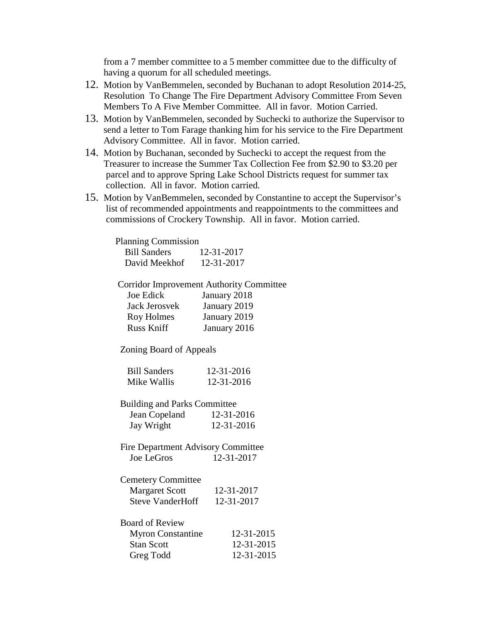from a 7 member committee to a 5 member committee due to the difficulty of having a quorum for all scheduled meetings.

- 12. Motion by VanBemmelen, seconded by Buchanan to adopt Resolution 2014-25, Resolution To Change The Fire Department Advisory Committee From Seven Members To A Five Member Committee. All in favor. Motion Carried.
- 13. Motion by VanBemmelen, seconded by Suchecki to authorize the Supervisor to send a letter to Tom Farage thanking him for his service to the Fire Department Advisory Committee. All in favor. Motion carried.
- 14. Motion by Buchanan, seconded by Suchecki to accept the request from the Treasurer to increase the Summer Tax Collection Fee from \$2.90 to \$3.20 per parcel and to approve Spring Lake School Districts request for summer tax collection. All in favor. Motion carried.
- 15. Motion by VanBemmelen, seconded by Constantine to accept the Supervisor's list of recommended appointments and reappointments to the committees and commissions of Crockery Township. All in favor. Motion carried.

| <b>Planning Commission</b> |            |
|----------------------------|------------|
| <b>Bill Sanders</b>        | 12-31-2017 |
| David Meekhof              | 12-31-2017 |

Corridor Improvement Authority Committee

| Joe Edick     | January 2018 |
|---------------|--------------|
| Jack Jerosvek | January 2019 |
| Roy Holmes    | January 2019 |
| Russ Kniff    | January 2016 |

Zoning Board of Appeals

| <b>Bill Sanders</b> | 12-31-2016 |
|---------------------|------------|
| Mike Wallis         | 12-31-2016 |

- Building and Parks Committee Jean Copeland 12-31-2016 Jay Wright 12-31-2016
- Fire Department Advisory Committee Joe LeGros 12-31-2017

| <b>Cemetery Committee</b>                    |            |
|----------------------------------------------|------------|
| Margaret Scott                               | 12-31-2017 |
| $\alpha$ , $\tau$ , $\tau$ , $\tau$ , $\tau$ | 10.01.0015 |

| <b>Steve VanderHoff</b> | 12-31-2017 |
|-------------------------|------------|
|                         |            |

| <b>Board of Review</b>   |            |
|--------------------------|------------|
| <b>Myron Constantine</b> | 12-31-2015 |
| <b>Stan Scott</b>        | 12-31-2015 |
| Greg Todd                | 12-31-2015 |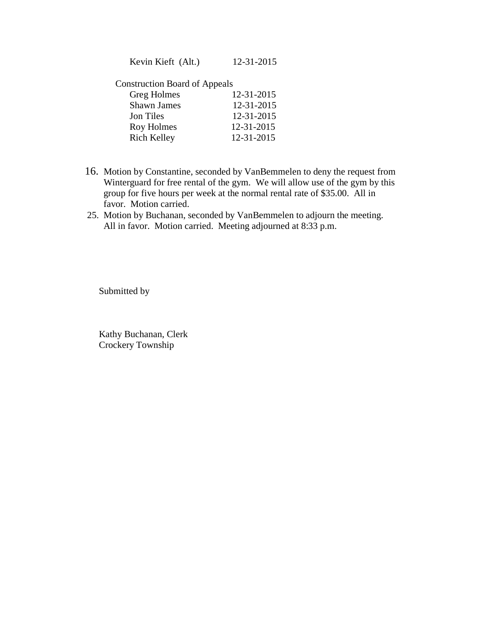Kevin Kieft (Alt.) 12-31-2015

Construction Board of Appeals

| Greg Holmes        | 12-31-2015 |
|--------------------|------------|
| <b>Shawn James</b> | 12-31-2015 |
| Jon Tiles          | 12-31-2015 |
| Roy Holmes         | 12-31-2015 |
| <b>Rich Kelley</b> | 12-31-2015 |
|                    |            |

- 16. Motion by Constantine, seconded by VanBemmelen to deny the request from Winterguard for free rental of the gym. We will allow use of the gym by this group for five hours per week at the normal rental rate of \$35.00. All in favor. Motion carried.
- 25. Motion by Buchanan, seconded by VanBemmelen to adjourn the meeting. All in favor. Motion carried. Meeting adjourned at 8:33 p.m.

Submitted by

Kathy Buchanan, Clerk Crockery Township